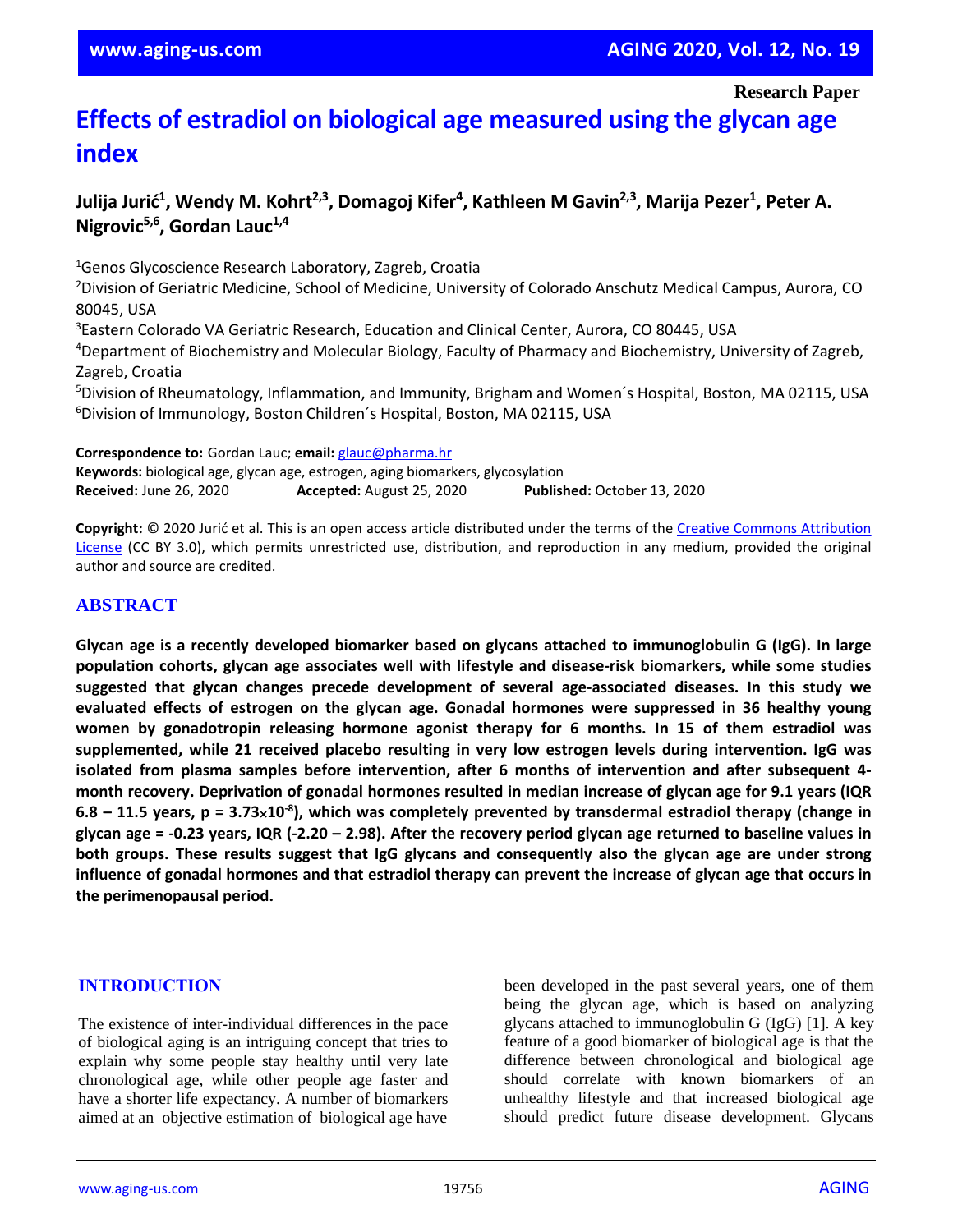**Research Paper**

# **Effects of estradiol on biological age measured using the glycan age index**

# **Julija Jurić<sup>1</sup> , Wendy M. Kohrt2,3, Domagoj Kifer<sup>4</sup> , Kathleen M Gavin2,3 , Marija Pezer<sup>1</sup> , Peter A. Nigrovic5,6, Gordan Lauc1,4**

<sup>1</sup>Genos Glycoscience Research Laboratory, Zagreb, Croatia <sup>2</sup>Division of Geriatric Medicine, School of Medicine, University of Colorado Anschutz Medical Campus, Aurora, CO 80045, USA

<sup>3</sup>Eastern Colorado VA Geriatric Research, Education and Clinical Center, Aurora, CO 80445, USA

<sup>4</sup>Department of Biochemistry and Molecular Biology, Faculty of Pharmacy and Biochemistry, University of Zagreb, Zagreb, Croatia

<sup>5</sup>Division of Rheumatology, Inflammation, and Immunity, Brigham and Women´s Hospital, Boston, MA 02115, USA <sup>6</sup>Division of Immunology, Boston Children´s Hospital, Boston, MA 02115, USA

**Correspondence to:** Gordan Lauc; **email:** [glauc@pharma.hr](mailto:glauc@pharma.hr)

**Keywords:** biological age, glycan age, estrogen, aging biomarkers, glycosylation **Received:** June 26, 2020 **Accepted:** August 25, 2020 **Published:** October 13, 2020

**Copyright:** © 2020 Jurić et al. This is an open access article distributed under the terms of the [Creative Commons Attribution](https://creativecommons.org/licenses/by/3.0/)  [License](https://creativecommons.org/licenses/by/3.0/) (CC BY 3.0), which permits unrestricted use, distribution, and reproduction in any medium, provided the original author and source are credited.

## **ABSTRACT**

Glycan age is a recently developed biomarker based on glycans attached to immunoglobulin G (IgG). In large **population cohorts, glycan age associates well with lifestyle and disease-risk biomarkers, while some studies suggested that glycan changes precede development of several age-associated diseases. In this study we evaluated effects of estrogen on the glycan age. Gonadal hormones were suppressed in 36 healthy young women by gonadotropin releasing hormone agonist therapy for 6 months. In 15 of them estradiol was supplemented, while 21 received placebo resulting in very low estrogen levels during intervention. IgG was isolated from plasma samples before intervention, after 6 months of intervention and after subsequent 4** month recovery. Deprivation of gonadal hormones resulted in median increase of glycan age for 9.1 years (IQR  $6.8 - 11.5$  years, p = 3.73×10<sup>-8</sup>), which was completely prevented by transdermal estradiol therapy (change in glycan age = -0.23 years, IQR (-2.20 – 2.98). After the recovery period glycan age returned to baseline values in **both groups. These results suggest that IgG glycans and consequently also the glycan age are under strong** influence of gonadal hormones and that estradiol therapy can prevent the increase of glycan age that occurs in **the perimenopausal period.**

## **INTRODUCTION**

The existence of inter-individual differences in the pace of biological aging is an intriguing concept that tries to explain why some people stay healthy until very late chronological age, while other people age faster and have a shorter life expectancy. A number of biomarkers aimed at an objective estimation of biological age have

been developed in the past several years, one of them being the glycan age, which is based on analyzing glycans attached to immunoglobulin G (IgG) [1]. A key feature of a good biomarker of biological age is that the difference between chronological and biological age should correlate with known biomarkers of an unhealthy lifestyle and that increased biological age should predict future disease development. Glycans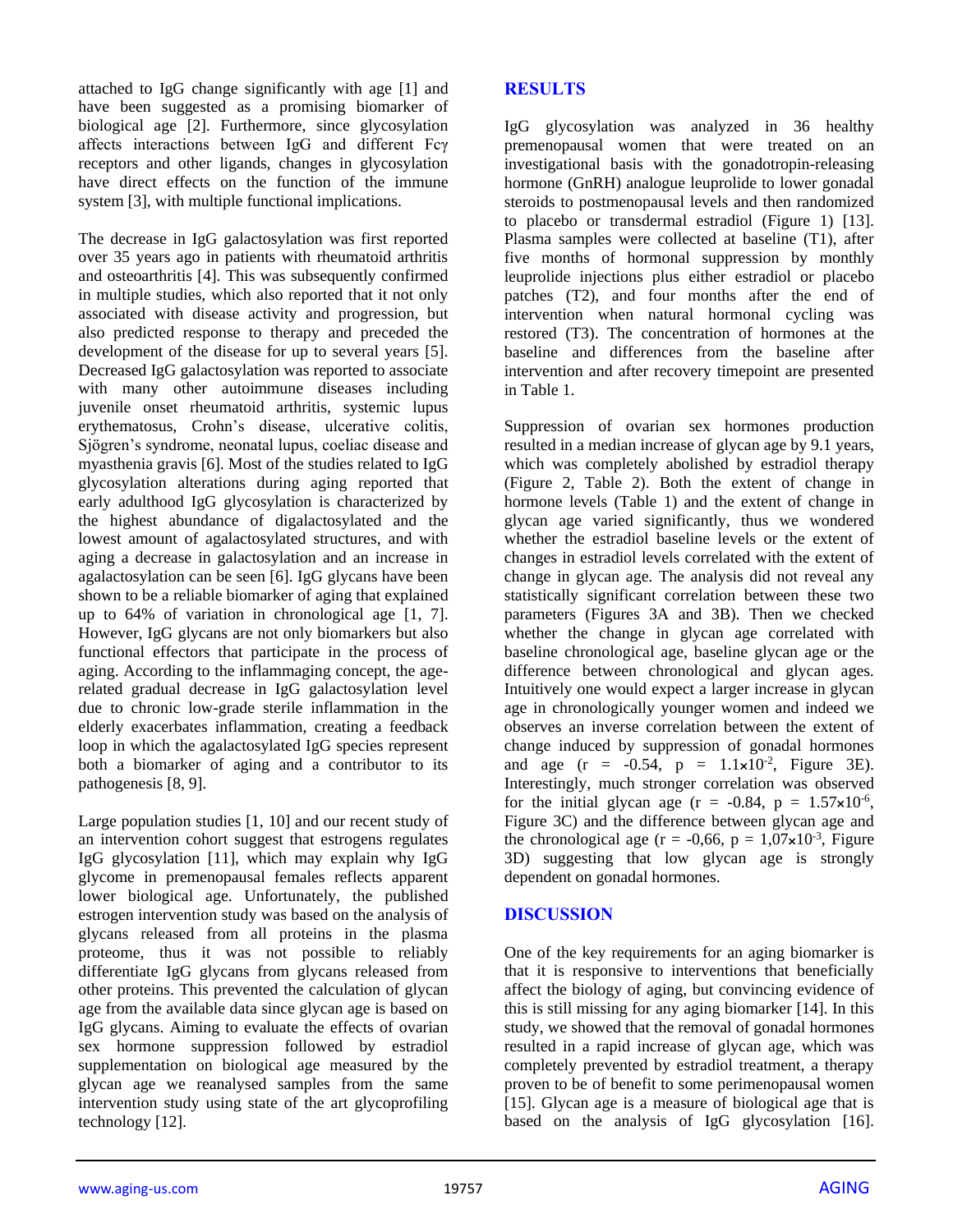attached to IgG change significantly with age [1] and have been suggested as a promising biomarker of biological age [2]. Furthermore, since glycosylation affects interactions between IgG and different Fcγ receptors and other ligands, changes in glycosylation have direct effects on the function of the immune system [3], with multiple functional implications.

The decrease in IgG galactosylation was first reported over 35 years ago in patients with rheumatoid arthritis and osteoarthritis [4]. This was subsequently confirmed in multiple studies, which also reported that it not only associated with disease activity and progression, but also predicted response to therapy and preceded the development of the disease for up to several years [5]. Decreased IgG galactosylation was reported to associate with many other autoimmune diseases including juvenile onset rheumatoid arthritis, systemic lupus erythematosus, Crohn's disease, ulcerative colitis, Sjögren's syndrome, neonatal lupus, coeliac disease and myasthenia gravis [6]. Most of the studies related to IgG glycosylation alterations during aging reported that early adulthood IgG glycosylation is characterized by the highest abundance of digalactosylated and the lowest amount of agalactosylated structures, and with aging a decrease in galactosylation and an increase in agalactosylation can be seen [6]. IgG glycans have been shown to be a reliable biomarker of aging that explained up to 64% of variation in chronological age [1, 7]. However, IgG glycans are not only biomarkers but also functional effectors that participate in the process of aging. According to the inflammaging concept, the agerelated gradual decrease in IgG galactosylation level due to chronic low-grade sterile inflammation in the elderly exacerbates inflammation, creating a feedback loop in which the agalactosylated IgG species represent both a biomarker of aging and a contributor to its pathogenesis [8, 9].

Large population studies [1, 10] and our recent study of an intervention cohort suggest that estrogens regulates IgG glycosylation [11], which may explain why IgG glycome in premenopausal females reflects apparent lower biological age. Unfortunately, the published estrogen intervention study was based on the analysis of glycans released from all proteins in the plasma proteome, thus it was not possible to reliably differentiate IgG glycans from glycans released from other proteins. This prevented the calculation of glycan age from the available data since glycan age is based on IgG glycans. Aiming to evaluate the effects of ovarian sex hormone suppression followed by estradiol supplementation on biological age measured by the glycan age we reanalysed samples from the same intervention study using state of the art glycoprofiling technology [12].

# **RESULTS**

IgG glycosylation was analyzed in 36 healthy premenopausal women that were treated on an investigational basis with the gonadotropin-releasing hormone (GnRH) analogue leuprolide to lower gonadal steroids to postmenopausal levels and then randomized to placebo or transdermal estradiol (Figure 1) [13]. Plasma samples were collected at baseline (T1), after five months of hormonal suppression by monthly leuprolide injections plus either estradiol or placebo patches (T2), and four months after the end of intervention when natural hormonal cycling was restored (T3). The concentration of hormones at the baseline and differences from the baseline after intervention and after recovery timepoint are presented in Table 1.

Suppression of ovarian sex hormones production resulted in a median increase of glycan age by 9.1 years, which was completely abolished by estradiol therapy (Figure 2, Table 2). Both the extent of change in hormone levels (Table 1) and the extent of change in glycan age varied significantly, thus we wondered whether the estradiol baseline levels or the extent of changes in estradiol levels correlated with the extent of change in glycan age. The analysis did not reveal any statistically significant correlation between these two parameters (Figures 3A and 3B). Then we checked whether the change in glycan age correlated with baseline chronological age, baseline glycan age or the difference between chronological and glycan ages. Intuitively one would expect a larger increase in glycan age in chronologically younger women and indeed we observes an inverse correlation between the extent of change induced by suppression of gonadal hormones and age  $(r = -0.54, p = 1.1 \times 10^{-2}, \text{ Figure 3E}).$ Interestingly, much stronger correlation was observed for the initial glycan age  $(r = -0.84, p = 1.57 \times 10^{-6},$ Figure 3C) and the difference between glycan age and the chronological age ( $r = -0.66$ ,  $p = 1.07 \times 10^{-3}$ , Figure 3D) suggesting that low glycan age is strongly dependent on gonadal hormones.

## **DISCUSSION**

One of the key requirements for an aging biomarker is that it is responsive to interventions that beneficially affect the biology of aging, but convincing evidence of this is still missing for any aging biomarker [14]. In this study, we showed that the removal of gonadal hormones resulted in a rapid increase of glycan age, which was completely prevented by estradiol treatment, a therapy proven to be of benefit to some perimenopausal women [15]. Glycan age is a measure of biological age that is based on the analysis of IgG glycosylation [16].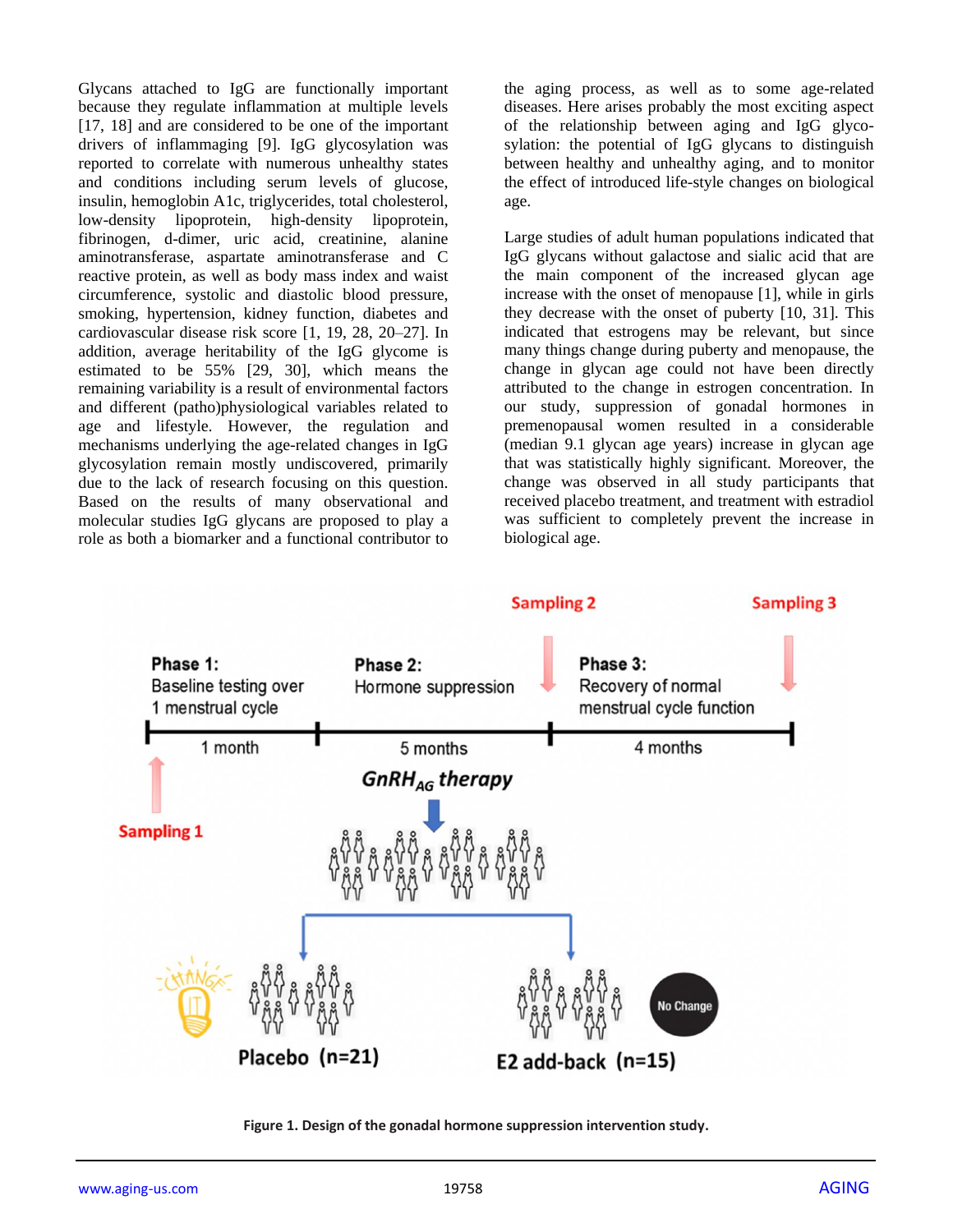Glycans attached to IgG are functionally important because they regulate inflammation at multiple levels [17, 18] and are considered to be one of the important drivers of inflammaging [9]. IgG glycosylation was reported to correlate with numerous unhealthy states and conditions including serum levels of glucose, insulin, hemoglobin A1c, triglycerides, total cholesterol, low-density lipoprotein, high-density lipoprotein, fibrinogen, d-dimer, uric acid, creatinine, alanine aminotransferase, aspartate aminotransferase and C reactive protein, as well as body mass index and waist circumference, systolic and diastolic blood pressure, smoking, hypertension, kidney function, diabetes and cardiovascular disease risk score [1, 19, 28, 20–27]. In addition, average heritability of the IgG glycome is estimated to be 55% [29, 30], which means the remaining variability is a result of environmental factors and different (patho)physiological variables related to age and lifestyle. However, the regulation and mechanisms underlying the age-related changes in IgG glycosylation remain mostly undiscovered, primarily due to the lack of research focusing on this question. Based on the results of many observational and molecular studies IgG glycans are proposed to play a role as both a biomarker and a functional contributor to

the aging process, as well as to some age-related diseases. Here arises probably the most exciting aspect of the relationship between aging and IgG glycosylation: the potential of IgG glycans to distinguish between healthy and unhealthy aging, and to monitor the effect of introduced life-style changes on biological age.

Large studies of adult human populations indicated that IgG glycans without galactose and sialic acid that are the main component of the increased glycan age increase with the onset of menopause [1], while in girls they decrease with the onset of puberty [10, 31]. This indicated that estrogens may be relevant, but since many things change during puberty and menopause, the change in glycan age could not have been directly attributed to the change in estrogen concentration. In our study, suppression of gonadal hormones in premenopausal women resulted in a considerable (median 9.1 glycan age years) increase in glycan age that was statistically highly significant. Moreover, the change was observed in all study participants that received placebo treatment, and treatment with estradiol was sufficient to completely prevent the increase in biological age.



**Figure 1. Design of the gonadal hormone suppression intervention study.**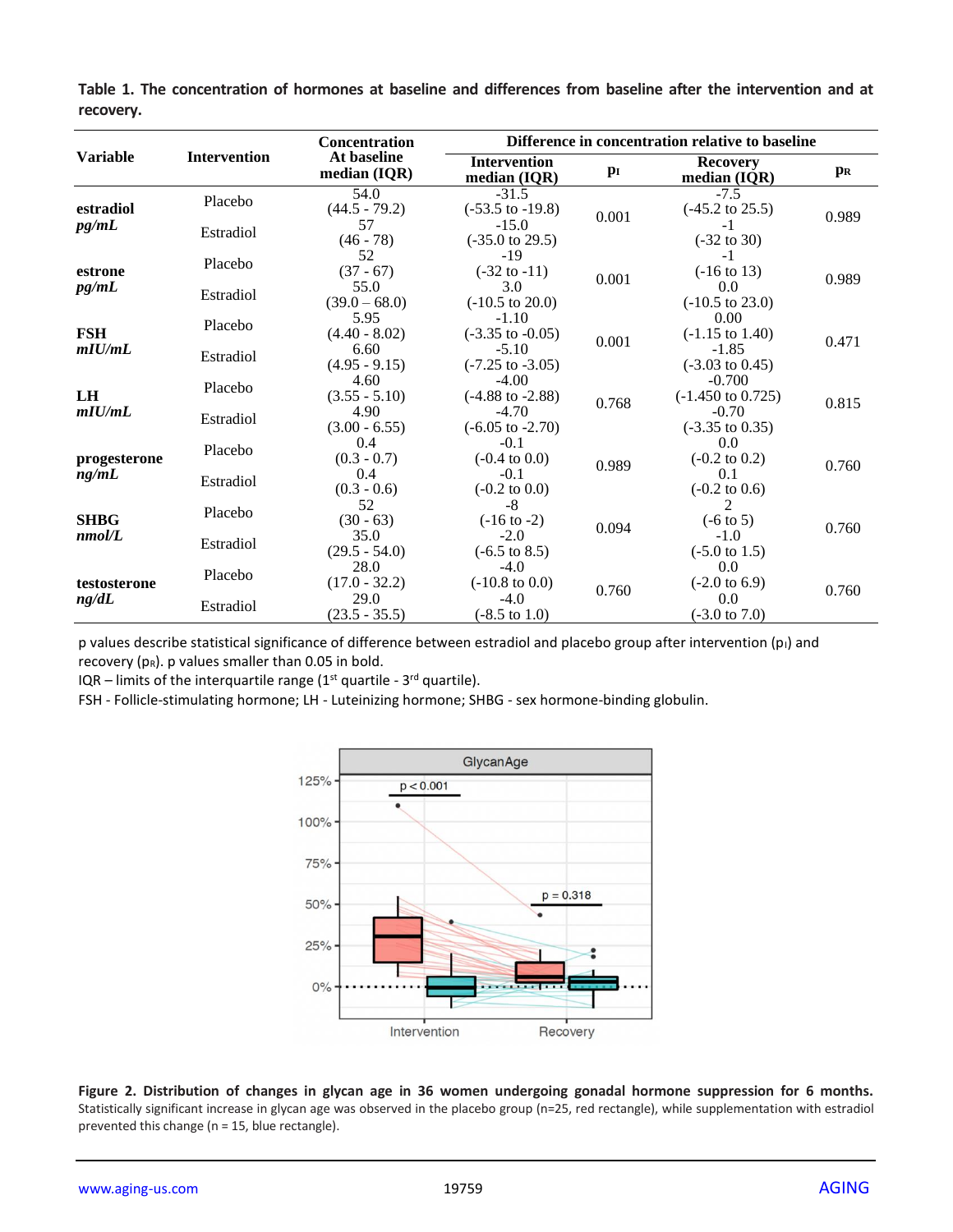| <b>Variable</b>       | <b>Intervention</b> | <b>Concentration</b><br>At baseline<br>median $(IQR)$ | Difference in concentration relative to baseline |       |                                          |                |
|-----------------------|---------------------|-------------------------------------------------------|--------------------------------------------------|-------|------------------------------------------|----------------|
|                       |                     |                                                       | <b>Intervention</b><br>median (IQR)              | $p_I$ | <b>Recovery</b><br>median (IQR)          | p <sub>R</sub> |
| estradiol<br>pg/mL    | Placebo             | 54.0<br>$(44.5 - 79.2)$                               | $-31.5$<br>$(-53.5 \text{ to } -19.8)$           | 0.001 | $-7.5$<br>$(-45.2 \text{ to } 25.5)$     | 0.989          |
|                       | Estradiol           | 57<br>$(46 - 78)$                                     | $-15.0$<br>$(-35.0 \text{ to } 29.5)$            |       | -1<br>$(-32 \text{ to } 30)$             |                |
| estrone<br>pg/mL      | Placebo             | 52<br>$(37 - 67)$                                     | -19<br>$(-32 \text{ to } -11)$                   |       | $-1$<br>$(-16 \text{ to } 13)$           |                |
|                       | Estradiol           | 55.0<br>$(39.0 - 68.0)$                               | 3.0<br>$(-10.5 \text{ to } 20.0)$                | 0.001 | 0.0<br>$(-10.5 \text{ to } 23.0)$        | 0.989          |
| <b>FSH</b><br>mIU/mL  | Placebo             | 5.95<br>$(4.40 - 8.02)$                               | $-1.10$<br>$(-3.35 \text{ to } -0.05)$           | 0.001 | 0.00<br>$(-1.15 \text{ to } 1.40)$       | 0.471          |
|                       | Estradiol           | 6.60<br>$(4.95 - 9.15)$                               | $-5.10$<br>$(-7.25 \text{ to } -3.05)$           |       | $-1.85$<br>$(-3.03 \text{ to } 0.45)$    |                |
| LH<br>mIU/mL          | Placebo             | 4.60<br>$(3.55 - 5.10)$                               | $-4.00$<br>$(-4.88 \text{ to } -2.88)$           | 0.768 | $-0.700$<br>$(-1.450 \text{ to } 0.725)$ | 0.815          |
|                       | Estradiol           | 4.90<br>$(3.00 - 6.55)$                               | $-4.70$<br>$(-6.05 \text{ to } -2.70)$           |       | $-0.70$<br>$(-3.35 \text{ to } 0.35)$    |                |
| progesterone<br>ng/mL | Placebo             | 0.4<br>$(0.3 - 0.7)$                                  | $-0.1$<br>$(-0.4 \text{ to } 0.0)$               | 0.989 | 0.0<br>$(-0.2 \text{ to } 0.2)$          | 0.760          |
|                       | Estradiol           | 0.4<br>$(0.3 - 0.6)$                                  | $-0.1$<br>$(-0.2 \text{ to } 0.0)$               |       | 0.1<br>$(-0.2 \text{ to } 0.6)$          |                |
| <b>SHBG</b><br>nmol/L | Placebo             | 52<br>$(30 - 63)$                                     | -8<br>$(-16 \text{ to } -2)$                     | 0.094 | $(-6 \text{ to } 5)$                     | 0.760          |
|                       | Estradiol           | 35.0<br>$(29.5 - 54.0)$                               | $-2.0$<br>$(-6.5 \text{ to } 8.5)$               |       | $-1.0$<br>$(-5.0 \text{ to } 1.5)$       |                |
| testosterone<br>ng/dL | Placebo             | 28.0<br>$(17.0 - 32.2)$                               | $-4.0$<br>$(-10.8 \text{ to } 0.0)$              |       | 0.0<br>$(-2.0 \text{ to } 6.9)$          |                |
|                       | Estradiol           | 29.0<br>$(23.5 - 35.5)$                               | $-4.0$<br>$(-8.5 \text{ to } 1.0)$               | 0.760 | 0.0<br>$(-3.0 \text{ to } 7.0)$          | 0.760          |

**Table 1. The concentration of hormones at baseline and differences from baseline after the intervention and at recovery.**

p values describe statistical significance of difference between estradiol and placebo group after intervention  $(p_1)$  and recovery ( $p_R$ ). p values smaller than 0.05 in bold.

IQR – limits of the interquartile range  $(1<sup>st</sup>$  quartile - 3<sup>rd</sup> quartile).

FSH - Follicle-stimulating hormone; LH - Luteinizing hormone; SHBG - sex hormone-binding globulin.



**Figure 2. Distribution of changes in glycan age in 36 women undergoing gonadal hormone suppression for 6 months.**  Statistically significant increase in glycan age was observed in the placebo group (n=25, red rectangle), while supplementation with estradiol prevented this change (n = 15, blue rectangle).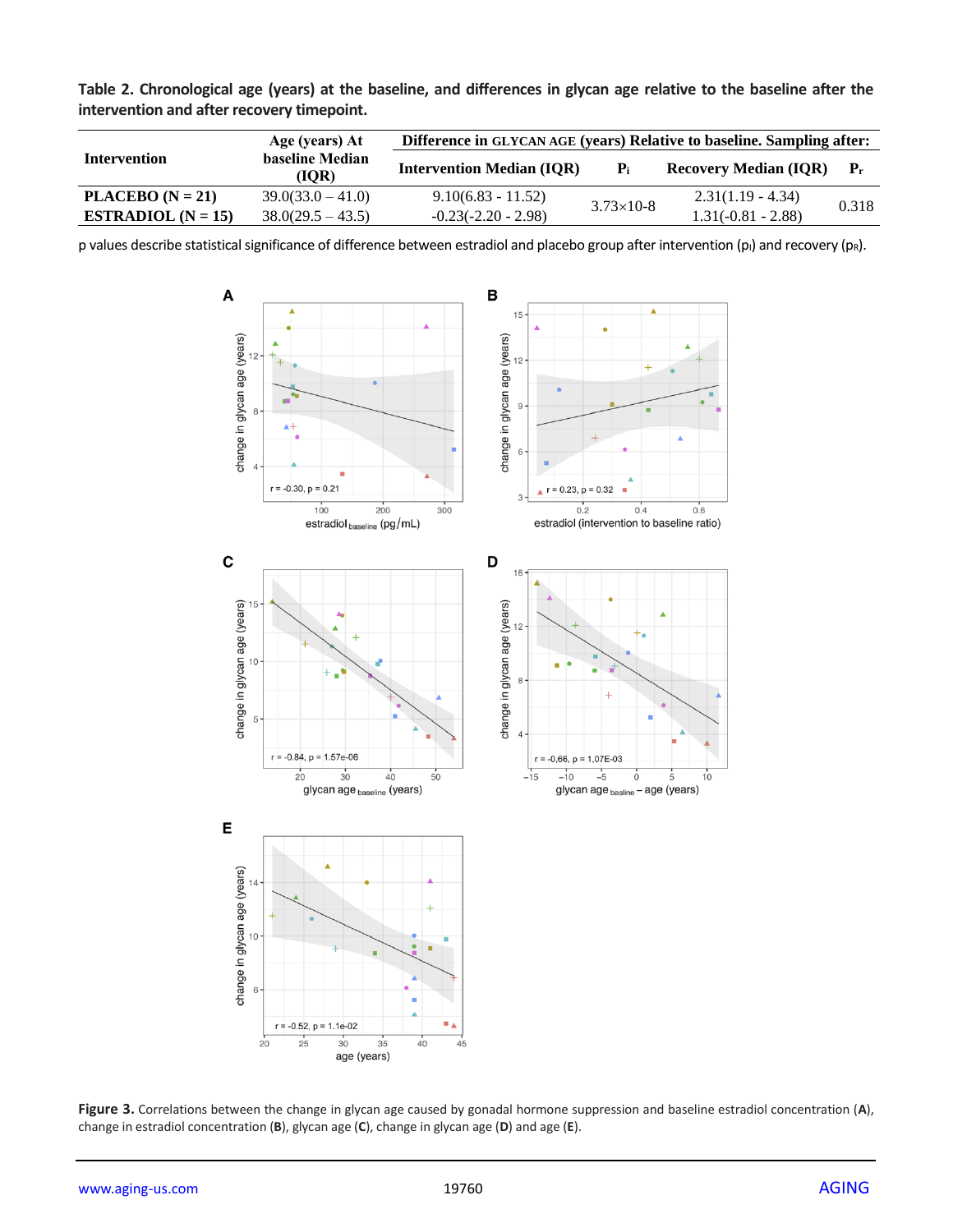| Table 2. Chronological age (years) at the baseline, and differences in glycan age relative to the baseline after the<br>intervention and after recovery timepoint. |                                   |                                                                        |  |  |  |  |  |  |
|--------------------------------------------------------------------------------------------------------------------------------------------------------------------|-----------------------------------|------------------------------------------------------------------------|--|--|--|--|--|--|
| Intourontion                                                                                                                                                       | Age (years) At<br>hosolina Madian | Difference in GLYCAN AGE (years) Relative to baseline. Sampling after: |  |  |  |  |  |  |

|                      | Age (years) At           | Difference in GLYCAN AGE (years) Relative to baseline. Sampling after: |                    |                              |                           |  |
|----------------------|--------------------------|------------------------------------------------------------------------|--------------------|------------------------------|---------------------------|--|
| <b>Intervention</b>  | baseline Median<br>(IOR) | <b>Intervention Median (IQR)</b>                                       | ${\bf P}_i$        | <b>Recovery Median (IOR)</b> | $\mathbf{P}_{\mathbf{r}}$ |  |
| PLACEBO $(N = 21)$   | $39.0(33.0 - 41.0)$      | $9.10(6.83 - 11.52)$                                                   | $3.73 \times 10-8$ | $2.31(1.19 - 4.34)$          | 0.318                     |  |
| ESTRADIOL $(N = 15)$ | $38.0(29.5 - 43.5)$      | $-0.23(-2.20 - 2.98)$                                                  |                    | $1.31(-0.81 - 2.88)$         |                           |  |

p values describe statistical significance of difference between estradiol and placebo group after intervention (p<sub>I</sub>) and recovery (pR).



**Figure 3.** Correlations between the change in glycan age caused by gonadal hormone suppression and baseline estradiol concentration (**A**), change in estradiol concentration (**B**), glycan age (**C**), change in glycan age (**D**) and age (**E**).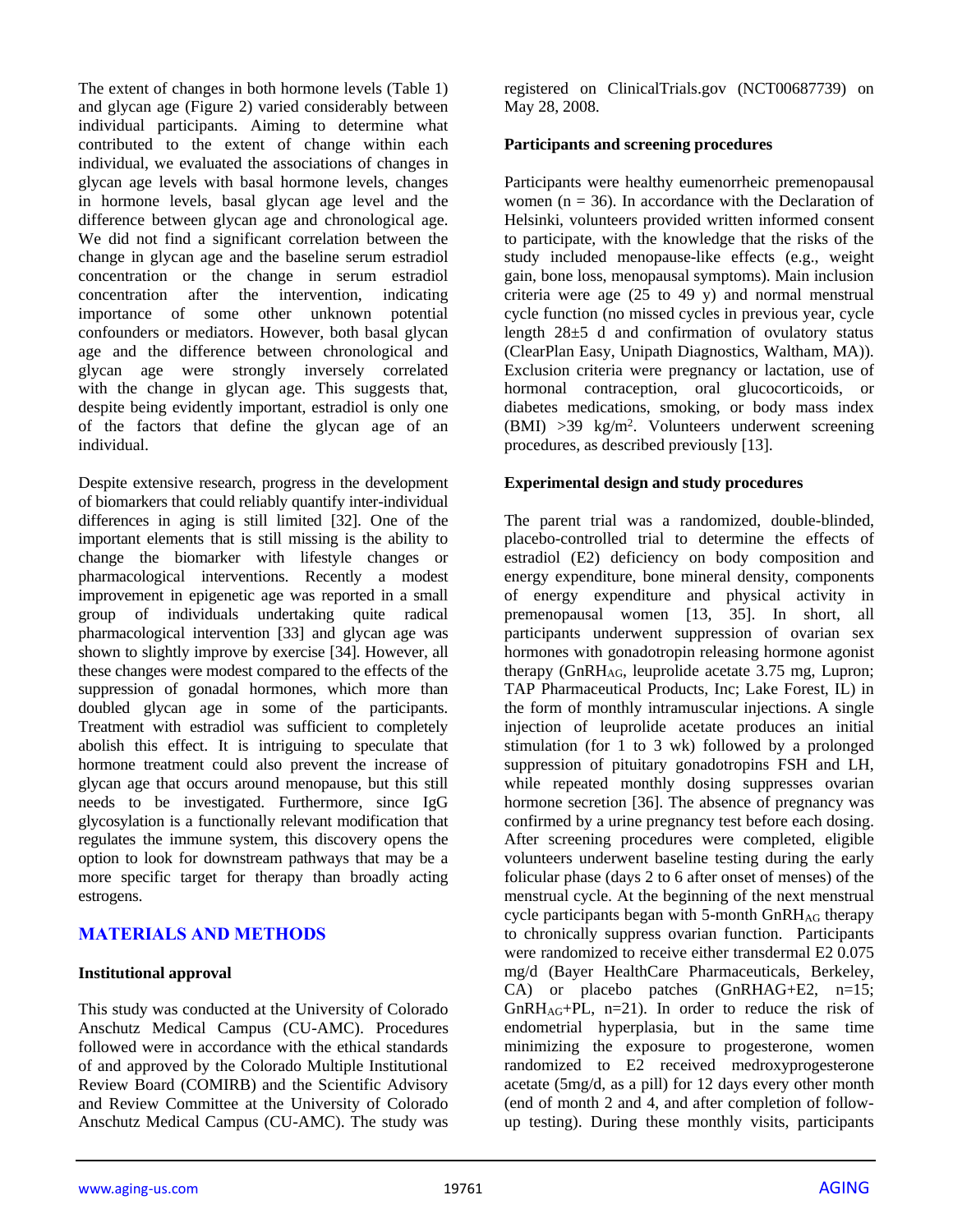The extent of changes in both hormone levels (Table 1) and glycan age (Figure 2) varied considerably between individual participants. Aiming to determine what contributed to the extent of change within each individual, we evaluated the associations of changes in glycan age levels with basal hormone levels, changes in hormone levels, basal glycan age level and the difference between glycan age and chronological age. We did not find a significant correlation between the change in glycan age and the baseline serum estradiol concentration or the change in serum estradiol concentration after the intervention, indicating importance of some other unknown potential confounders or mediators. However, both basal glycan age and the difference between chronological and glycan age were strongly inversely correlated with the change in glycan age. This suggests that, despite being evidently important, estradiol is only one of the factors that define the glycan age of an individual.

Despite extensive research, progress in the development of biomarkers that could reliably quantify inter-individual differences in aging is still limited [32]. One of the important elements that is still missing is the ability to change the biomarker with lifestyle changes or pharmacological interventions. Recently a modest improvement in epigenetic age was reported in a small group of individuals undertaking quite radical pharmacological intervention [33] and glycan age was shown to slightly improve by exercise [34]. However, all these changes were modest compared to the effects of the suppression of gonadal hormones, which more than doubled glycan age in some of the participants. Treatment with estradiol was sufficient to completely abolish this effect. It is intriguing to speculate that hormone treatment could also prevent the increase of glycan age that occurs around menopause, but this still needs to be investigated. Furthermore, since IgG glycosylation is a functionally relevant modification that regulates the immune system, this discovery opens the option to look for downstream pathways that may be a more specific target for therapy than broadly acting estrogens.

## **MATERIALS AND METHODS**

#### **Institutional approval**

This study was conducted at the University of Colorado Anschutz Medical Campus (CU-AMC). Procedures followed were in accordance with the ethical standards of and approved by the Colorado Multiple Institutional Review Board (COMIRB) and the Scientific Advisory and Review Committee at the University of Colorado Anschutz Medical Campus (CU-AMC). The study was

registered on ClinicalTrials.gov (NCT00687739) on May 28, 2008.

#### **Participants and screening procedures**

Participants were healthy eumenorrheic premenopausal women ( $n = 36$ ). In accordance with the Declaration of Helsinki, volunteers provided written informed consent to participate, with the knowledge that the risks of the study included menopause-like effects (e.g., weight gain, bone loss, menopausal symptoms). Main inclusion criteria were age  $(25 \text{ to } 49 \text{ y})$  and normal menstrual cycle function (no missed cycles in previous year, cycle length 28±5 d and confirmation of ovulatory status (ClearPlan Easy, Unipath Diagnostics, Waltham, MA)). Exclusion criteria were pregnancy or lactation, use of hormonal contraception, oral glucocorticoids, or diabetes medications, smoking, or body mass index (BMI) >39 kg/m<sup>2</sup> . Volunteers underwent screening procedures, as described previously [13].

#### **Experimental design and study procedures**

The parent trial was a randomized, double-blinded, placebo-controlled trial to determine the effects of estradiol (E2) deficiency on body composition and energy expenditure, bone mineral density, components of energy expenditure and physical activity in premenopausal women [13, 35]. In short, all participants underwent suppression of ovarian sex hormones with gonadotropin releasing hormone agonist therapy (GnRHAG, leuprolide acetate 3.75 mg, Lupron; TAP Pharmaceutical Products, Inc; Lake Forest, IL) in the form of monthly intramuscular injections. A single injection of leuprolide acetate produces an initial stimulation (for 1 to 3 wk) followed by a prolonged suppression of pituitary gonadotropins FSH and LH, while repeated monthly dosing suppresses ovarian hormone secretion [36]. The absence of pregnancy was confirmed by a urine pregnancy test before each dosing. After screening procedures were completed, eligible volunteers underwent baseline testing during the early folicular phase (days 2 to 6 after onset of menses) of the menstrual cycle. At the beginning of the next menstrual cycle participants began with 5-month  $GnRH_{AG}$  therapy to chronically suppress ovarian function. Participants were randomized to receive either transdermal E2 0.075 mg/d (Bayer HealthCare Pharmaceuticals, Berkeley, CA) or placebo patches (GnRHAG+E2, n=15;  $GnRH<sub>AG</sub>+PL$ , n=21). In order to reduce the risk of endometrial hyperplasia, but in the same time minimizing the exposure to progesterone, women randomized to E2 received medroxyprogesterone acetate (5mg/d, as a pill) for 12 days every other month (end of month 2 and 4, and after completion of followup testing). During these monthly visits, participants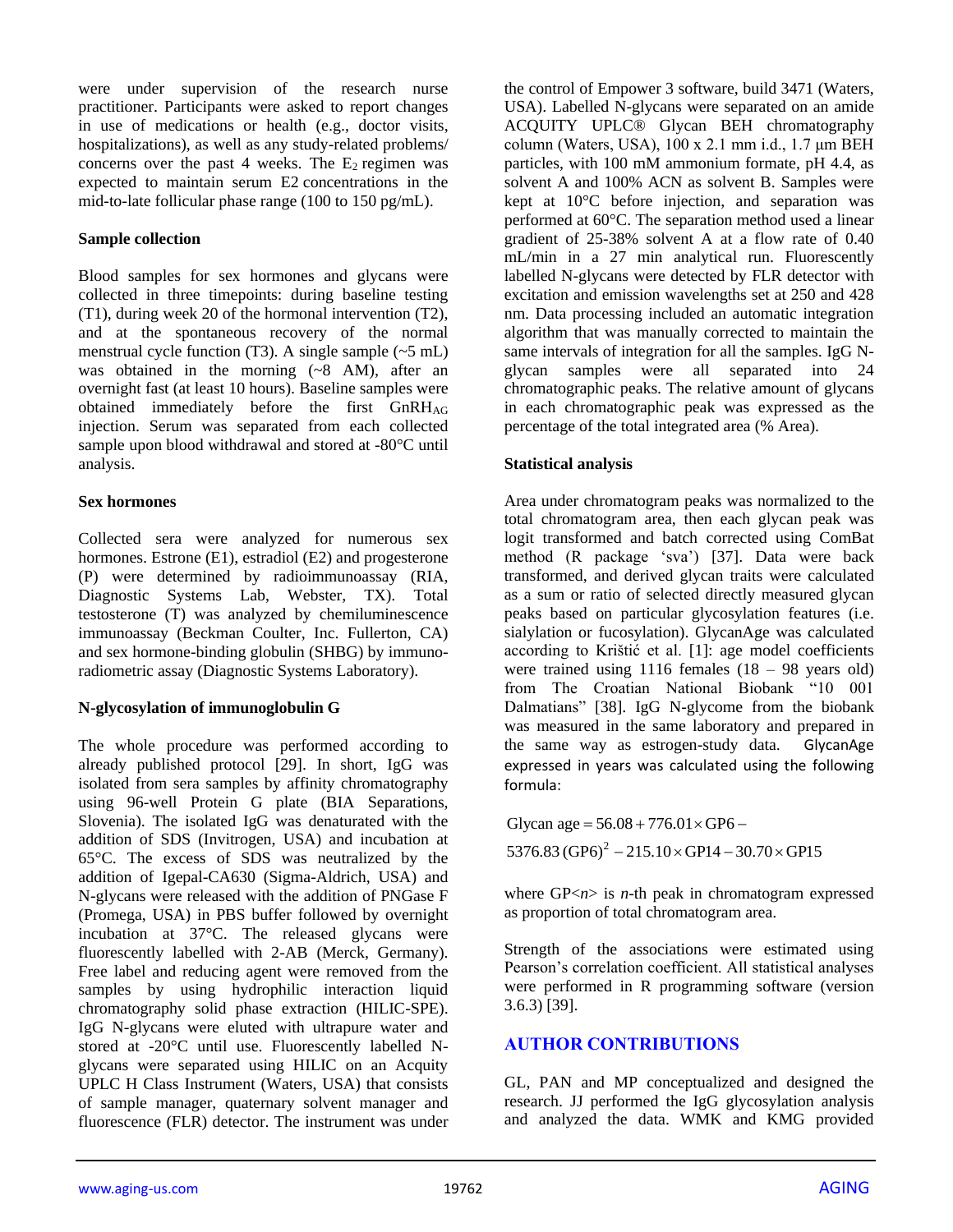were under supervision of the research nurse practitioner. Participants were asked to report changes in use of medications or health (e.g., doctor visits, hospitalizations), as well as any study-related problems/ concerns over the past 4 weeks. The  $E_2$  regimen was expected to maintain serum E2 concentrations in the mid-to-late follicular phase range (100 to 150 pg/mL).

#### **Sample collection**

Blood samples for sex hormones and glycans were collected in three timepoints: during baseline testing (T1), during week 20 of the hormonal intervention (T2), and at the spontaneous recovery of the normal menstrual cycle function (T3). A single sample  $({\sim}5 \text{ mL})$ was obtained in the morning  $(-8 \text{ AM})$ , after an overnight fast (at least 10 hours). Baseline samples were obtained immediately before the first GnRHAG injection. Serum was separated from each collected sample upon blood withdrawal and stored at -80°C until analysis.

## **Sex hormones**

Collected sera were analyzed for numerous sex hormones. Estrone (E1), estradiol (E2) and progesterone (P) were determined by radioimmunoassay (RIA, Diagnostic Systems Lab, Webster, TX). Total testosterone (T) was analyzed by chemiluminescence immunoassay (Beckman Coulter, Inc. Fullerton, CA) and sex hormone-binding globulin (SHBG) by immunoradiometric assay (Diagnostic Systems Laboratory).

## **N-glycosylation of immunoglobulin G**

The whole procedure was performed according to already published protocol [29]. In short, IgG was isolated from sera samples by affinity chromatography using 96-well Protein G plate (BIA Separations, Slovenia). The isolated IgG was denaturated with the addition of SDS (Invitrogen, USA) and incubation at 65°C. The excess of SDS was neutralized by the addition of Igepal-CA630 (Sigma-Aldrich, USA) and N-glycans were released with the addition of PNGase F (Promega, USA) in PBS buffer followed by overnight incubation at 37°C. The released glycans were fluorescently labelled with 2-AB (Merck, Germany). Free label and reducing agent were removed from the samples by using hydrophilic interaction liquid chromatography solid phase extraction (HILIC-SPE). IgG N-glycans were eluted with ultrapure water and stored at -20°C until use. Fluorescently labelled Nglycans were separated using HILIC on an Acquity UPLC H Class Instrument (Waters, USA) that consists of sample manager, quaternary solvent manager and fluorescence (FLR) detector. The instrument was under

the control of Empower 3 software, build 3471 (Waters, USA). Labelled N-glycans were separated on an amide ACQUITY UPLC® Glycan BEH chromatography column (Waters, USA), 100 x 2.1 mm i.d., 1.7 μm BEH particles, with 100 mM ammonium formate, pH 4.4, as solvent A and 100% ACN as solvent B. Samples were kept at 10°C before injection, and separation was performed at 60°C. The separation method used a linear gradient of 25-38% solvent A at a flow rate of 0.40 mL/min in a 27 min analytical run. Fluorescently labelled N-glycans were detected by FLR detector with excitation and emission wavelengths set at 250 and 428 nm. Data processing included an automatic integration algorithm that was manually corrected to maintain the same intervals of integration for all the samples. IgG Nglycan samples were all separated into 24 chromatographic peaks. The relative amount of glycans in each chromatographic peak was expressed as the percentage of the total integrated area (% Area).

## **Statistical analysis**

Area under chromatogram peaks was normalized to the total chromatogram area, then each glycan peak was logit transformed and batch corrected using ComBat method (R package 'sva') [37]. Data were back transformed, and derived glycan traits were calculated as a sum or ratio of selected directly measured glycan peaks based on particular glycosylation features (i.e. sialylation or fucosylation). GlycanAge was calculated according to Krištić et al. [1]: age model coefficients were trained using 1116 females (18 – 98 years old) from The Croatian National Biobank "10 001 Dalmatians" [38]. IgG N-glycome from the biobank was measured in the same laboratory and prepared in the same way as estrogen-study data. GlycanAge expressed in years was calculated using the following formula:

 $5376.83 \left( \text{GP6} \right)^2 - 215.10 \times \text{GP14} - 30.70 \times \text{GP15}$ Glycan age = 56.08 + 776.01  $\times$  GP6 –

where GP<*n*> is *n*-th peak in chromatogram expressed as proportion of total chromatogram area.

Strength of the associations were estimated using Pearson's correlation coefficient. All statistical analyses were performed in R programming software (version 3.6.3) [39].

# **AUTHOR CONTRIBUTIONS**

GL, PAN and MP conceptualized and designed the research. JJ performed the IgG glycosylation analysis and analyzed the data. WMK and KMG provided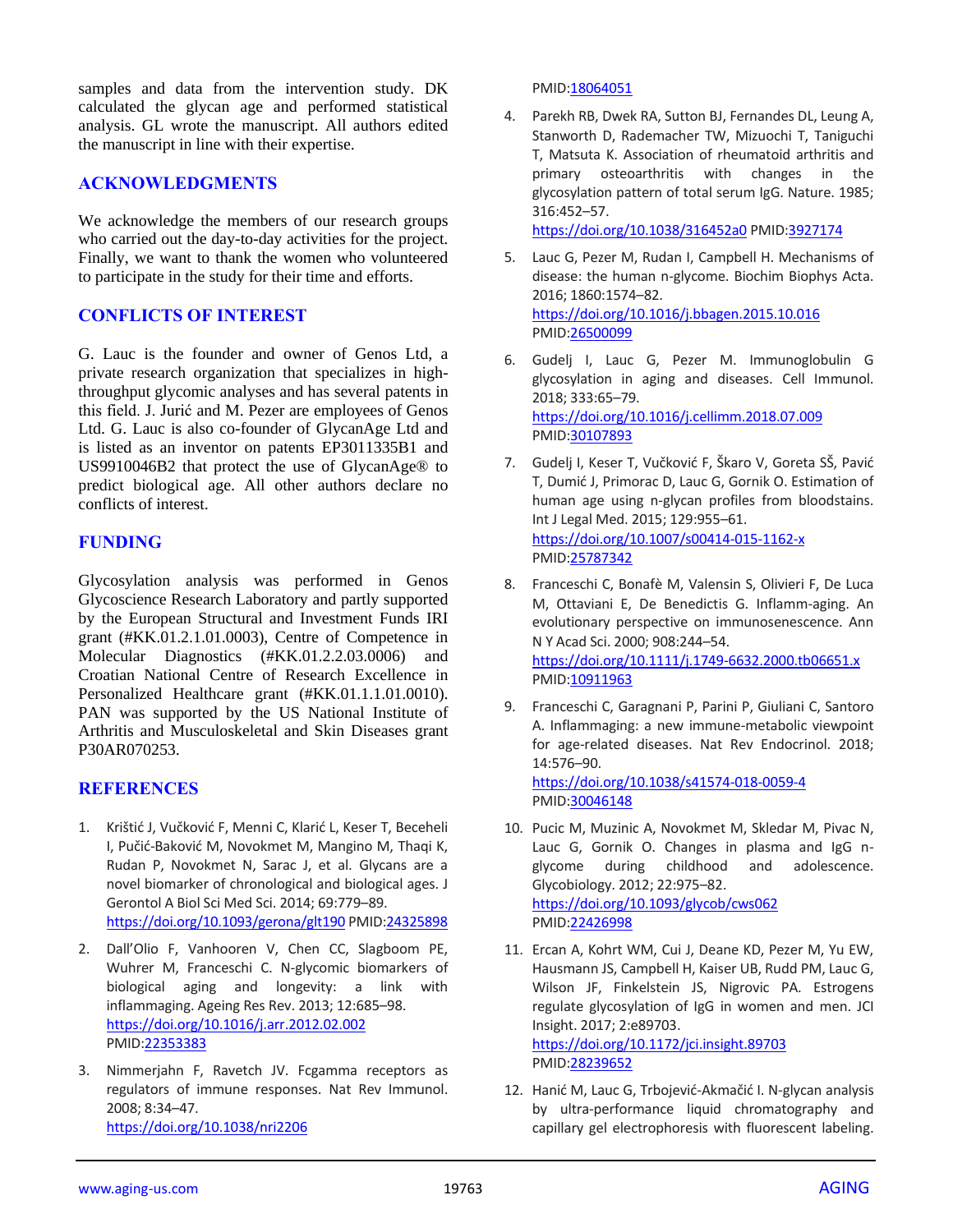samples and data from the intervention study. DK calculated the glycan age and performed statistical analysis. GL wrote the manuscript. All authors edited the manuscript in line with their expertise.

#### **ACKNOWLEDGMENTS**

We acknowledge the members of our research groups who carried out the day-to-day activities for the project. Finally, we want to thank the women who volunteered to participate in the study for their time and efforts.

#### **CONFLICTS OF INTEREST**

G. Lauc is the founder and owner of Genos Ltd, a private research organization that specializes in highthroughput glycomic analyses and has several patents in this field. J. Jurić and M. Pezer are employees of Genos Ltd. G. Lauc is also co-founder of GlycanAge Ltd and is listed as an inventor on patents EP3011335B1 and US9910046B2 that protect the use of GlycanAge® to predict biological age. All other authors declare no conflicts of interest.

## **FUNDING**

Glycosylation analysis was performed in Genos Glycoscience Research Laboratory and partly supported by the European Structural and Investment Funds IRI grant (#KK.01.2.1.01.0003), Centre of Competence in Molecular Diagnostics (#KK.01.2.2.03.0006) and Croatian National Centre of Research Excellence in Personalized Healthcare grant (#KK.01.1.1.01.0010). PAN was supported by the US National Institute of Arthritis and Musculoskeletal and Skin Diseases grant P30AR070253.

#### **REFERENCES**

- 1. Krištić J, Vučković F, Menni C, Klarić L, Keser T, Beceheli I, Pučić-Baković M, Novokmet M, Mangino M, Thaqi K, Rudan P, Novokmet N, Sarac J, et al. Glycans are a novel biomarker of chronological and biological ages. J Gerontol A Biol Sci Med Sci. 2014; 69:779–89. <https://doi.org/10.1093/gerona/glt190> PMID[:24325898](https://pubmed.ncbi.nlm.nih.gov/24325898)
- 2. Dall'Olio F, Vanhooren V, Chen CC, Slagboom PE, Wuhrer M, Franceschi C. N-glycomic biomarkers of biological aging and longevity: a link with inflammaging. Ageing Res Rev. 2013; 12:685–98. <https://doi.org/10.1016/j.arr.2012.02.002> PMID[:22353383](https://pubmed.ncbi.nlm.nih.gov/22353383)
- 3. Nimmerjahn F, Ravetch JV. Fcgamma receptors as regulators of immune responses. Nat Rev Immunol. 2008; 8:34–47. <https://doi.org/10.1038/nri2206>

PMI[D:18064051](https://pubmed.ncbi.nlm.nih.gov/18064051)

4. Parekh RB, Dwek RA, Sutton BJ, Fernandes DL, Leung A, Stanworth D, Rademacher TW, Mizuochi T, Taniguchi T, Matsuta K. Association of rheumatoid arthritis and primary osteoarthritis with changes in the glycosylation pattern of total serum IgG. Nature. 1985; 316:452–57.

<https://doi.org/10.1038/316452a0> PMID[:3927174](https://pubmed.ncbi.nlm.nih.gov/3927174)

- 5. Lauc G, Pezer M, Rudan I, Campbell H. Mechanisms of disease: the human n-glycome. Biochim Biophys Acta. 2016; 1860:1574–82. <https://doi.org/10.1016/j.bbagen.2015.10.016> PMI[D:26500099](https://pubmed.ncbi.nlm.nih.gov/26500099)
- 6. Gudelj I, Lauc G, Pezer M. Immunoglobulin G glycosylation in aging and diseases. Cell Immunol. 2018; 333:65–79. <https://doi.org/10.1016/j.cellimm.2018.07.009> PMI[D:30107893](https://pubmed.ncbi.nlm.nih.gov/30107893)
- 7. Gudelj I, Keser T, Vučković F, Škaro V, Goreta SŠ, Pavić T, Dumić J, Primorac D, Lauc G, Gornik O. Estimation of human age using n-glycan profiles from bloodstains. Int J Legal Med. 2015; 129:955–61. <https://doi.org/10.1007/s00414-015-1162-x> PMI[D:25787342](https://pubmed.ncbi.nlm.nih.gov/25787342)
- 8. Franceschi C, Bonafè M, Valensin S, Olivieri F, De Luca M, Ottaviani E, De Benedictis G. Inflamm-aging. An evolutionary perspective on immunosenescence. Ann N Y Acad Sci. 2000; 908:244–54. <https://doi.org/10.1111/j.1749-6632.2000.tb06651.x> PMI[D:10911963](https://pubmed.ncbi.nlm.nih.gov/10911963)
- 9. Franceschi C, Garagnani P, Parini P, Giuliani C, Santoro A. Inflammaging: a new immune-metabolic viewpoint for age-related diseases. Nat Rev Endocrinol. 2018; 14:576–90.

<https://doi.org/10.1038/s41574-018-0059-4> PMI[D:30046148](https://pubmed.ncbi.nlm.nih.gov/30046148)

- 10. Pucic M, Muzinic A, Novokmet M, Skledar M, Pivac N, Lauc G, Gornik O. Changes in plasma and IgG nglycome during childhood and adolescence. Glycobiology. 2012; 22:975–82. <https://doi.org/10.1093/glycob/cws062> PMI[D:22426998](https://pubmed.ncbi.nlm.nih.gov/22426998)
- 11. Ercan A, Kohrt WM, Cui J, Deane KD, Pezer M, Yu EW, Hausmann JS, Campbell H, Kaiser UB, Rudd PM, Lauc G, Wilson JF, Finkelstein JS, Nigrovic PA. Estrogens regulate glycosylation of IgG in women and men. JCI Insight. 2017; 2:e89703.

<https://doi.org/10.1172/jci.insight.89703> PMI[D:28239652](https://pubmed.ncbi.nlm.nih.gov/28239652)

12. Hanić M, Lauc G, Trbojević-Akmačić I. N-glycan analysis by ultra-performance liquid chromatography and capillary gel electrophoresis with fluorescent labeling.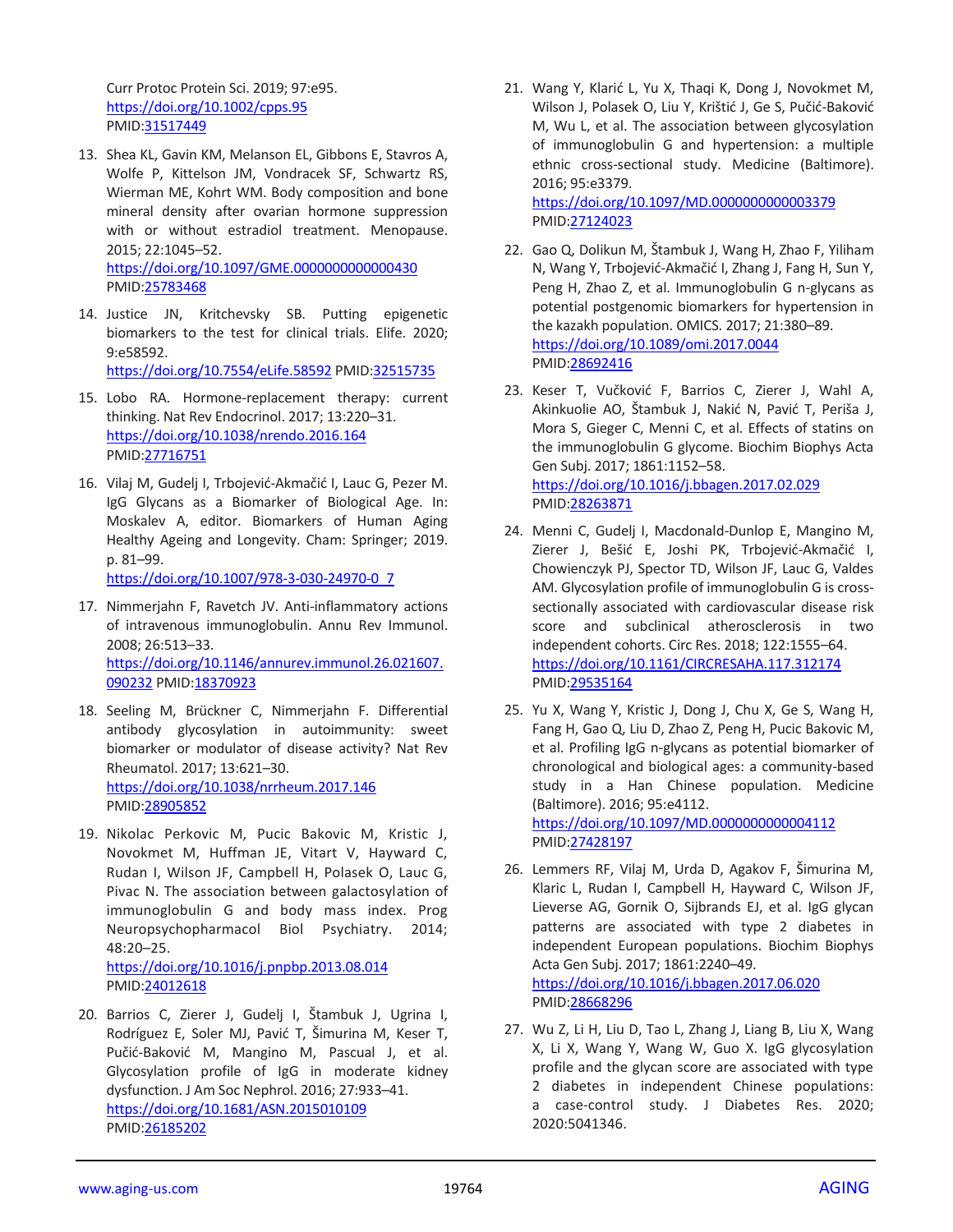Curr Protoc Protein Sci. 2019; 97:e95. <https://doi.org/10.1002/cpps.95> PMID[:31517449](https://pubmed.ncbi.nlm.nih.gov/31517449)

- 13. Shea KL, Gavin KM, Melanson EL, Gibbons E, Stavros A, Wolfe P, Kittelson JM, Vondracek SF, Schwartz RS, Wierman ME, Kohrt WM. Body composition and bone mineral density after ovarian hormone suppression with or without estradiol treatment. Menopause. 2015; 22:1045–52. <https://doi.org/10.1097/GME.0000000000000430> PMID[:25783468](https://pubmed.ncbi.nlm.nih.gov/25783468)
- 14. Justice JN, Kritchevsky SB. Putting epigenetic biomarkers to the test for clinical trials. Elife. 2020; 9:e58592. <https://doi.org/10.7554/eLife.58592> PMID[:32515735](https://pubmed.ncbi.nlm.nih.gov/32515735)

15. Lobo RA. Hormone-replacement therapy: current thinking. Nat Rev Endocrinol. 2017; 13:220–31. <https://doi.org/10.1038/nrendo.2016.164> PMID[:27716751](https://pubmed.ncbi.nlm.nih.gov/27716751)

16. Vilaj M, Gudelj I, Trbojević-Akmačić I, Lauc G, Pezer M. IgG Glycans as a Biomarker of Biological Age. In: Moskalev A, editor. Biomarkers of Human Aging Healthy Ageing and Longevity. Cham: Springer; 2019. p. 81–99.

[https://doi.org/10.1007/978-3-030-24970-0\\_7](https://doi.org/10.1007/978-3-030-24970-0_7)

- 17. Nimmerjahn F, Ravetch JV. Anti-inflammatory actions of intravenous immunoglobulin. Annu Rev Immunol. 2008; 26:513–33. [https://doi.org/10.1146/annurev.immunol.26.021607.](https://doi.org/10.1146/annurev.immunol.26.021607.090232) [090232](https://doi.org/10.1146/annurev.immunol.26.021607.090232) PMID[:18370923](https://pubmed.ncbi.nlm.nih.gov/18370923)
- 18. Seeling M, Brückner C, Nimmerjahn F. Differential antibody glycosylation in autoimmunity: sweet biomarker or modulator of disease activity? Nat Rev Rheumatol. 2017; 13:621–30. <https://doi.org/10.1038/nrrheum.2017.146> PMID[:28905852](https://pubmed.ncbi.nlm.nih.gov/28905852)
- 19. Nikolac Perkovic M, Pucic Bakovic M, Kristic J, Novokmet M, Huffman JE, Vitart V, Hayward C, Rudan I, Wilson JF, Campbell H, Polasek O, Lauc G, Pivac N. The association between galactosylation of immunoglobulin G and body mass index. Prog Neuropsychopharmacol Biol Psychiatry. 2014; 48:20–25. <https://doi.org/10.1016/j.pnpbp.2013.08.014>
- PMID[:24012618](https://pubmed.ncbi.nlm.nih.gov/24012618) 20. Barrios C, Zierer J, Gudelj I, Štambuk J, Ugrina I,
- Rodríguez E, Soler MJ, Pavić T, Šimurina M, Keser T, Pučić-Baković M, Mangino M, Pascual J, et al. Glycosylation profile of IgG in moderate kidney dysfunction. J Am Soc Nephrol. 2016; 27:933–41. <https://doi.org/10.1681/ASN.2015010109> PMID[:26185202](https://pubmed.ncbi.nlm.nih.gov/26185202)

21. Wang Y, Klarić L, Yu X, Thaqi K, Dong J, Novokmet M, Wilson J, Polasek O, Liu Y, Krištić J, Ge S, Pučić-Baković M, Wu L, et al. The association between glycosylation of immunoglobulin G and hypertension: a multiple ethnic cross-sectional study. Medicine (Baltimore). 2016; 95:e3379.

<https://doi.org/10.1097/MD.0000000000003379> PMI[D:27124023](https://pubmed.ncbi.nlm.nih.gov/27124023)

- 22. Gao Q, Dolikun M, Štambuk J, Wang H, Zhao F, Yiliham N, Wang Y, Trbojević-Akmačić I, Zhang J, Fang H, Sun Y, Peng H, Zhao Z, et al. Immunoglobulin G n-glycans as potential postgenomic biomarkers for hypertension in the kazakh population. OMICS. 2017; 21:380–89. <https://doi.org/10.1089/omi.2017.0044> PMI[D:28692416](https://pubmed.ncbi.nlm.nih.gov/28692416)
- 23. Keser T, Vučković F, Barrios C, Zierer J, Wahl A, Akinkuolie AO, Štambuk J, Nakić N, Pavić T, Periša J, Mora S, Gieger C, Menni C, et al. Effects of statins on the immunoglobulin G glycome. Biochim Biophys Acta Gen Subj. 2017; 1861:1152–58. <https://doi.org/10.1016/j.bbagen.2017.02.029> PMI[D:28263871](https://pubmed.ncbi.nlm.nih.gov/28263871)
- 24. Menni C, Gudelj I, Macdonald-Dunlop E, Mangino M, Zierer J, Bešić E, Joshi PK, Trbojević-Akmačić I, Chowienczyk PJ, Spector TD, Wilson JF, Lauc G, Valdes AM. Glycosylation profile of immunoglobulin G is crosssectionally associated with cardiovascular disease risk score and subclinical atherosclerosis in two independent cohorts. Circ Res. 2018; 122:1555–64. <https://doi.org/10.1161/CIRCRESAHA.117.312174> PMI[D:29535164](https://pubmed.ncbi.nlm.nih.gov/29535164)
- 25. Yu X, Wang Y, Kristic J, Dong J, Chu X, Ge S, Wang H, Fang H, Gao Q, Liu D, Zhao Z, Peng H, Pucic Bakovic M, et al. Profiling IgG n-glycans as potential biomarker of chronological and biological ages: a community-based study in a Han Chinese population. Medicine (Baltimore). 2016; 95:e4112. <https://doi.org/10.1097/MD.0000000000004112>
	- PMI[D:27428197](https://pubmed.ncbi.nlm.nih.gov/27428197)
- 26. Lemmers RF, Vilaj M, Urda D, Agakov F, Šimurina M, Klaric L, Rudan I, Campbell H, Hayward C, Wilson JF, Lieverse AG, Gornik O, Sijbrands EJ, et al. IgG glycan patterns are associated with type 2 diabetes in independent European populations. Biochim Biophys Acta Gen Subj. 2017; 1861:2240–49. <https://doi.org/10.1016/j.bbagen.2017.06.020> PMI[D:28668296](https://pubmed.ncbi.nlm.nih.gov/28668296)
- 27. Wu Z, Li H, Liu D, Tao L, Zhang J, Liang B, Liu X, Wang X, Li X, Wang Y, Wang W, Guo X. IgG glycosylation profile and the glycan score are associated with type 2 diabetes in independent Chinese populations: a case-control study. J Diabetes Res. 2020; 2020:5041346.